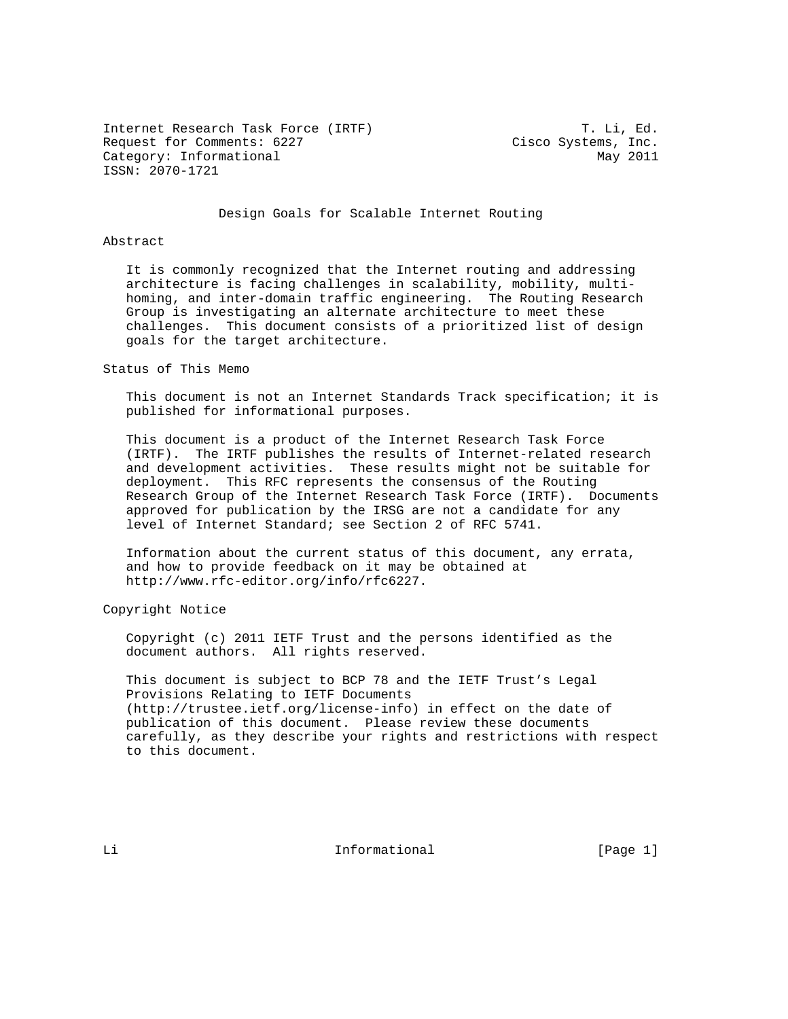Internet Research Task Force (IRTF) T. Li, Ed. Request for Comments: 6227 Cisco Systems, Inc. Category: Informational May 2011 ISSN: 2070-1721

#### Design Goals for Scalable Internet Routing

### Abstract

 It is commonly recognized that the Internet routing and addressing architecture is facing challenges in scalability, mobility, multi homing, and inter-domain traffic engineering. The Routing Research Group is investigating an alternate architecture to meet these challenges. This document consists of a prioritized list of design goals for the target architecture.

Status of This Memo

 This document is not an Internet Standards Track specification; it is published for informational purposes.

 This document is a product of the Internet Research Task Force (IRTF). The IRTF publishes the results of Internet-related research and development activities. These results might not be suitable for deployment. This RFC represents the consensus of the Routing Research Group of the Internet Research Task Force (IRTF). Documents approved for publication by the IRSG are not a candidate for any level of Internet Standard; see Section 2 of RFC 5741.

 Information about the current status of this document, any errata, and how to provide feedback on it may be obtained at http://www.rfc-editor.org/info/rfc6227.

Copyright Notice

 Copyright (c) 2011 IETF Trust and the persons identified as the document authors. All rights reserved.

 This document is subject to BCP 78 and the IETF Trust's Legal Provisions Relating to IETF Documents (http://trustee.ietf.org/license-info) in effect on the date of publication of this document. Please review these documents carefully, as they describe your rights and restrictions with respect to this document.

Li **Informational** [Page 1]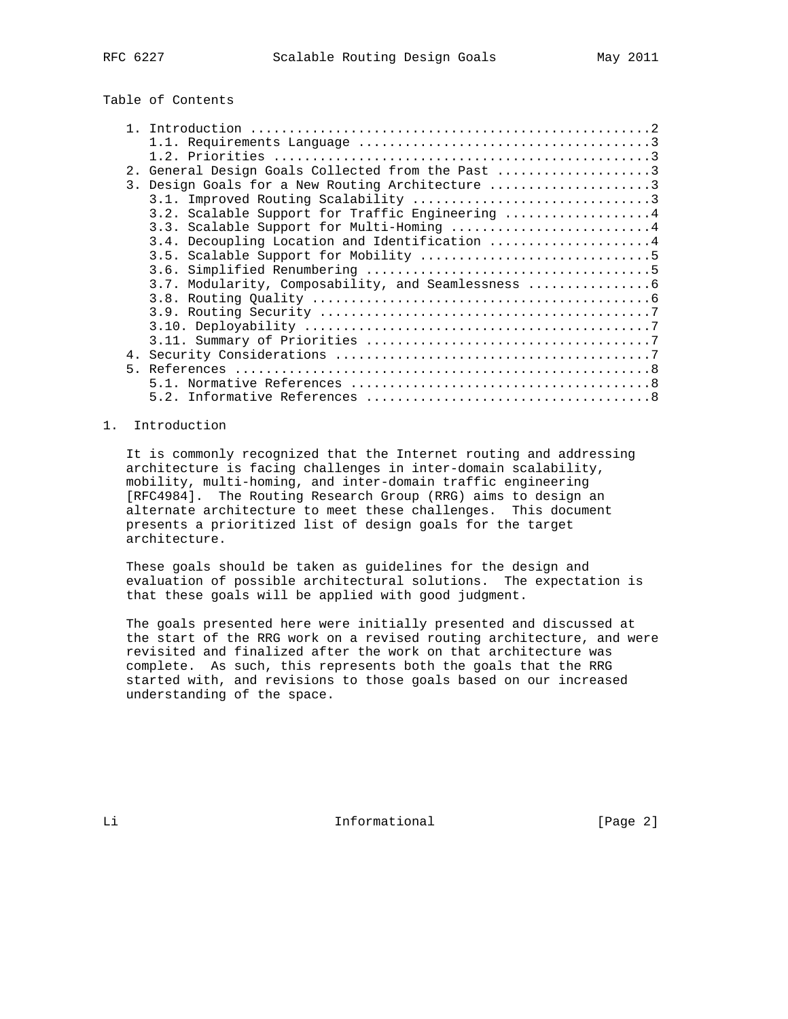# Table of Contents

|  | 2. General Design Goals Collected from the Past 3 |
|--|---------------------------------------------------|
|  | 3. Design Goals for a New Routing Architecture 3  |
|  |                                                   |
|  | 3.2. Scalable Support for Traffic Engineering  4  |
|  | 3.3. Scalable Support for Multi-Homing  4         |
|  | 3.4. Decoupling Location and Identification 4     |
|  |                                                   |
|  |                                                   |
|  |                                                   |
|  |                                                   |
|  |                                                   |
|  |                                                   |
|  |                                                   |
|  |                                                   |
|  |                                                   |
|  |                                                   |
|  |                                                   |
|  |                                                   |

## 1. Introduction

 It is commonly recognized that the Internet routing and addressing architecture is facing challenges in inter-domain scalability, mobility, multi-homing, and inter-domain traffic engineering [RFC4984]. The Routing Research Group (RRG) aims to design an alternate architecture to meet these challenges. This document presents a prioritized list of design goals for the target architecture.

 These goals should be taken as guidelines for the design and evaluation of possible architectural solutions. The expectation is that these goals will be applied with good judgment.

 The goals presented here were initially presented and discussed at the start of the RRG work on a revised routing architecture, and were revisited and finalized after the work on that architecture was complete. As such, this represents both the goals that the RRG started with, and revisions to those goals based on our increased understanding of the space.

Li Li Informational [Page 2]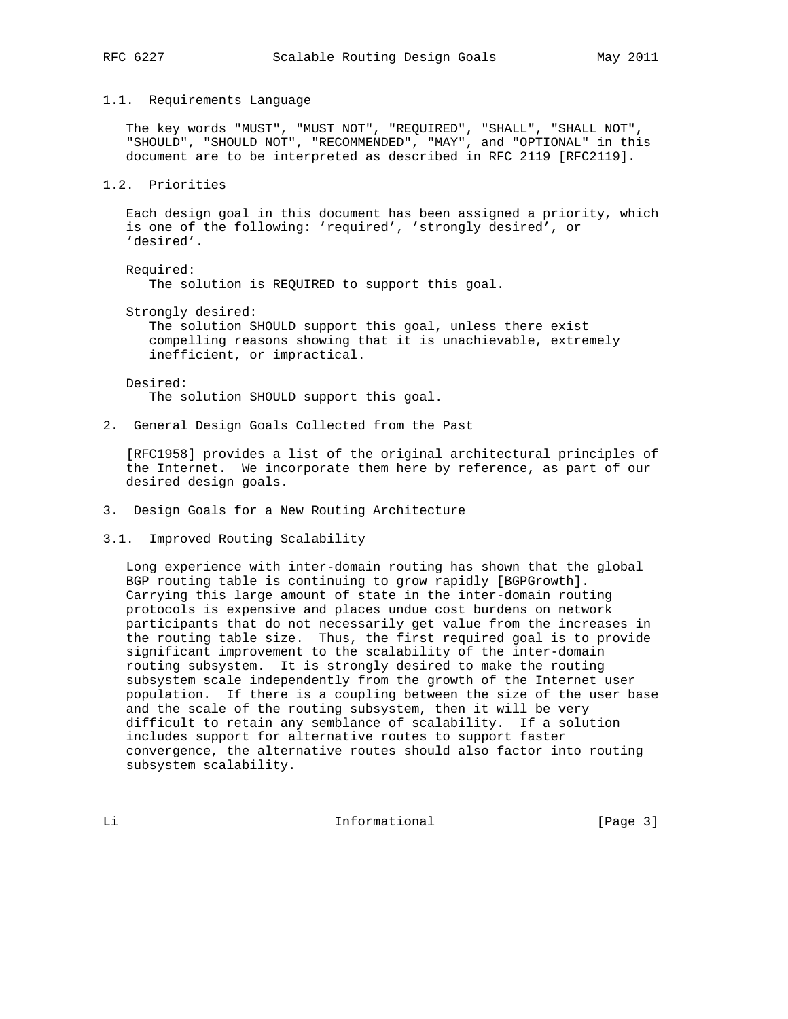#### 1.1. Requirements Language

 The key words "MUST", "MUST NOT", "REQUIRED", "SHALL", "SHALL NOT", "SHOULD", "SHOULD NOT", "RECOMMENDED", "MAY", and "OPTIONAL" in this document are to be interpreted as described in RFC 2119 [RFC2119].

## 1.2. Priorities

 Each design goal in this document has been assigned a priority, which is one of the following: 'required', 'strongly desired', or 'desired'.

Required:

The solution is REQUIRED to support this goal.

Strongly desired:

 The solution SHOULD support this goal, unless there exist compelling reasons showing that it is unachievable, extremely inefficient, or impractical.

 Desired: The solution SHOULD support this goal.

2. General Design Goals Collected from the Past

 [RFC1958] provides a list of the original architectural principles of the Internet. We incorporate them here by reference, as part of our desired design goals.

- 3. Design Goals for a New Routing Architecture
- 3.1. Improved Routing Scalability

 Long experience with inter-domain routing has shown that the global BGP routing table is continuing to grow rapidly [BGPGrowth]. Carrying this large amount of state in the inter-domain routing protocols is expensive and places undue cost burdens on network participants that do not necessarily get value from the increases in the routing table size. Thus, the first required goal is to provide significant improvement to the scalability of the inter-domain routing subsystem. It is strongly desired to make the routing subsystem scale independently from the growth of the Internet user population. If there is a coupling between the size of the user base and the scale of the routing subsystem, then it will be very difficult to retain any semblance of scalability. If a solution includes support for alternative routes to support faster convergence, the alternative routes should also factor into routing subsystem scalability.

Li Informational [Page 3]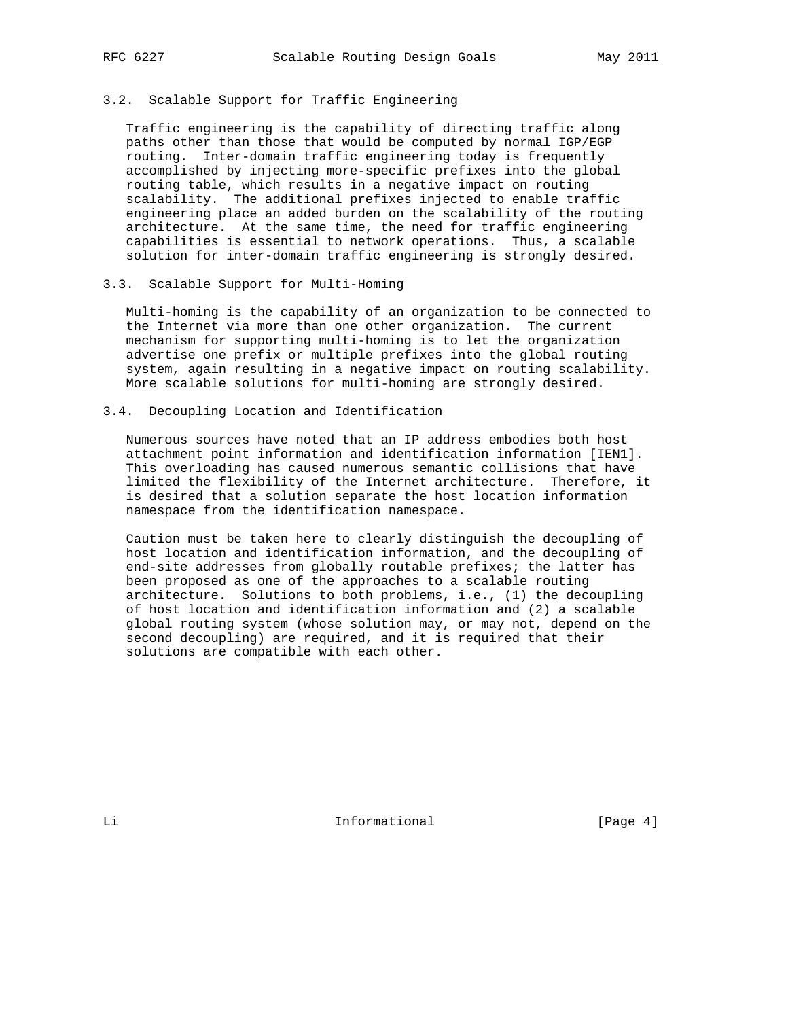# 3.2. Scalable Support for Traffic Engineering

 Traffic engineering is the capability of directing traffic along paths other than those that would be computed by normal IGP/EGP routing. Inter-domain traffic engineering today is frequently accomplished by injecting more-specific prefixes into the global routing table, which results in a negative impact on routing scalability. The additional prefixes injected to enable traffic engineering place an added burden on the scalability of the routing architecture. At the same time, the need for traffic engineering capabilities is essential to network operations. Thus, a scalable solution for inter-domain traffic engineering is strongly desired.

#### 3.3. Scalable Support for Multi-Homing

 Multi-homing is the capability of an organization to be connected to the Internet via more than one other organization. The current mechanism for supporting multi-homing is to let the organization advertise one prefix or multiple prefixes into the global routing system, again resulting in a negative impact on routing scalability. More scalable solutions for multi-homing are strongly desired.

## 3.4. Decoupling Location and Identification

 Numerous sources have noted that an IP address embodies both host attachment point information and identification information [IEN1]. This overloading has caused numerous semantic collisions that have limited the flexibility of the Internet architecture. Therefore, it is desired that a solution separate the host location information namespace from the identification namespace.

 Caution must be taken here to clearly distinguish the decoupling of host location and identification information, and the decoupling of end-site addresses from globally routable prefixes; the latter has been proposed as one of the approaches to a scalable routing architecture. Solutions to both problems, i.e., (1) the decoupling of host location and identification information and (2) a scalable global routing system (whose solution may, or may not, depend on the second decoupling) are required, and it is required that their solutions are compatible with each other.

Li **Informational** [Page 4]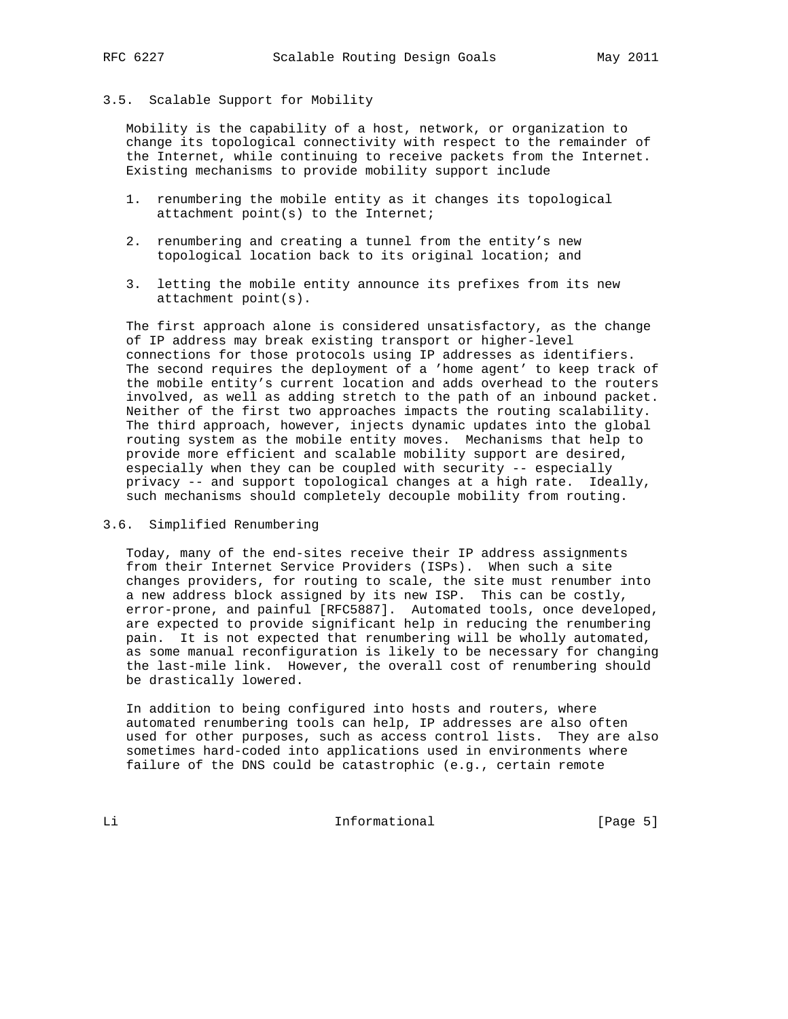#### 3.5. Scalable Support for Mobility

 Mobility is the capability of a host, network, or organization to change its topological connectivity with respect to the remainder of the Internet, while continuing to receive packets from the Internet. Existing mechanisms to provide mobility support include

- 1. renumbering the mobile entity as it changes its topological attachment point(s) to the Internet;
- 2. renumbering and creating a tunnel from the entity's new topological location back to its original location; and
- 3. letting the mobile entity announce its prefixes from its new attachment point(s).

 The first approach alone is considered unsatisfactory, as the change of IP address may break existing transport or higher-level connections for those protocols using IP addresses as identifiers. The second requires the deployment of a 'home agent' to keep track of the mobile entity's current location and adds overhead to the routers involved, as well as adding stretch to the path of an inbound packet. Neither of the first two approaches impacts the routing scalability. The third approach, however, injects dynamic updates into the global routing system as the mobile entity moves. Mechanisms that help to provide more efficient and scalable mobility support are desired, especially when they can be coupled with security -- especially privacy -- and support topological changes at a high rate. Ideally, such mechanisms should completely decouple mobility from routing.

3.6. Simplified Renumbering

 Today, many of the end-sites receive their IP address assignments from their Internet Service Providers (ISPs). When such a site changes providers, for routing to scale, the site must renumber into a new address block assigned by its new ISP. This can be costly, error-prone, and painful [RFC5887]. Automated tools, once developed, are expected to provide significant help in reducing the renumbering pain. It is not expected that renumbering will be wholly automated, as some manual reconfiguration is likely to be necessary for changing the last-mile link. However, the overall cost of renumbering should be drastically lowered.

 In addition to being configured into hosts and routers, where automated renumbering tools can help, IP addresses are also often used for other purposes, such as access control lists. They are also sometimes hard-coded into applications used in environments where failure of the DNS could be catastrophic (e.g., certain remote

Li **Informational** [Page 5]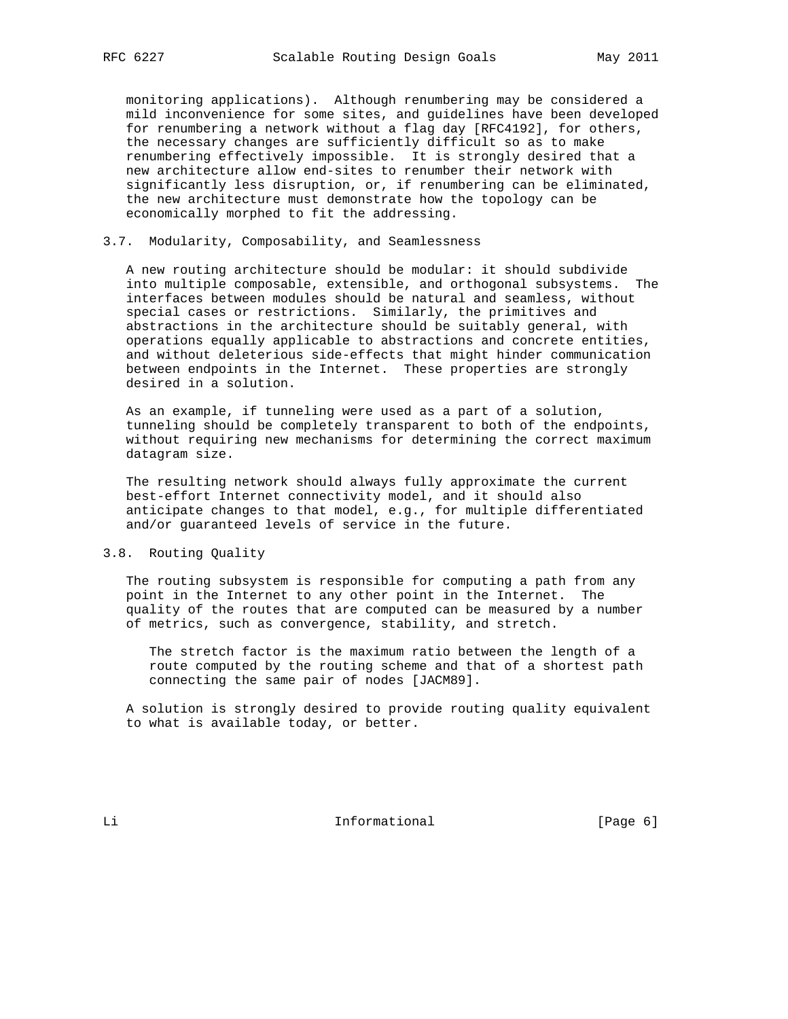monitoring applications). Although renumbering may be considered a mild inconvenience for some sites, and guidelines have been developed for renumbering a network without a flag day [RFC4192], for others, the necessary changes are sufficiently difficult so as to make renumbering effectively impossible. It is strongly desired that a new architecture allow end-sites to renumber their network with significantly less disruption, or, if renumbering can be eliminated, the new architecture must demonstrate how the topology can be economically morphed to fit the addressing.

### 3.7. Modularity, Composability, and Seamlessness

 A new routing architecture should be modular: it should subdivide into multiple composable, extensible, and orthogonal subsystems. The interfaces between modules should be natural and seamless, without special cases or restrictions. Similarly, the primitives and abstractions in the architecture should be suitably general, with operations equally applicable to abstractions and concrete entities, and without deleterious side-effects that might hinder communication between endpoints in the Internet. These properties are strongly desired in a solution.

 As an example, if tunneling were used as a part of a solution, tunneling should be completely transparent to both of the endpoints, without requiring new mechanisms for determining the correct maximum datagram size.

 The resulting network should always fully approximate the current best-effort Internet connectivity model, and it should also anticipate changes to that model, e.g., for multiple differentiated and/or guaranteed levels of service in the future.

# 3.8. Routing Quality

 The routing subsystem is responsible for computing a path from any point in the Internet to any other point in the Internet. The quality of the routes that are computed can be measured by a number of metrics, such as convergence, stability, and stretch.

 The stretch factor is the maximum ratio between the length of a route computed by the routing scheme and that of a shortest path connecting the same pair of nodes [JACM89].

 A solution is strongly desired to provide routing quality equivalent to what is available today, or better.

Li Li Informational [Page 6]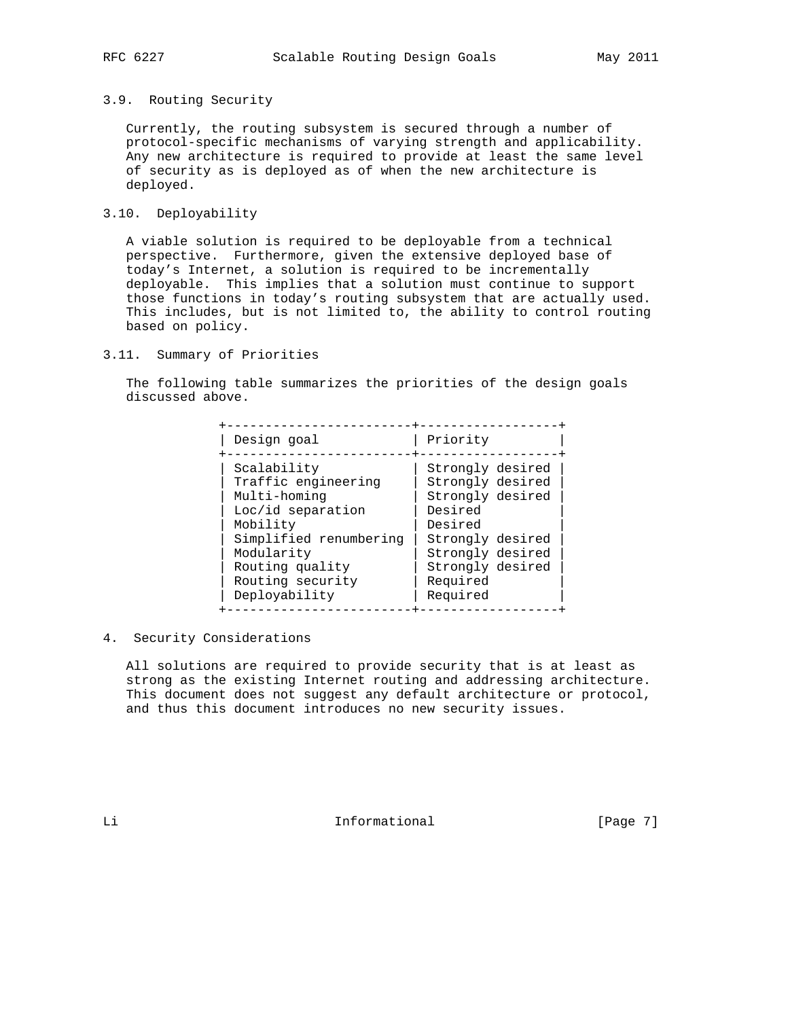#### 3.9. Routing Security

 Currently, the routing subsystem is secured through a number of protocol-specific mechanisms of varying strength and applicability. Any new architecture is required to provide at least the same level of security as is deployed as of when the new architecture is deployed.

# 3.10. Deployability

 A viable solution is required to be deployable from a technical perspective. Furthermore, given the extensive deployed base of today's Internet, a solution is required to be incrementally deployable. This implies that a solution must continue to support those functions in today's routing subsystem that are actually used. This includes, but is not limited to, the ability to control routing based on policy.

## 3.11. Summary of Priorities

 The following table summarizes the priorities of the design goals discussed above.

| Design goal                                                                                                                                                                         | Priority                                                                                                                                                           |
|-------------------------------------------------------------------------------------------------------------------------------------------------------------------------------------|--------------------------------------------------------------------------------------------------------------------------------------------------------------------|
| Scalability<br>Traffic engineering<br>Multi-homing<br>Loc/id separation<br>Mobility<br>Simplified renumbering<br>Modularity<br>Routing quality<br>Routing security<br>Deployability | Strongly desired<br>Strongly desired<br>Strongly desired<br>Desired<br>Desired<br>Strongly desired<br>Strongly desired<br>Strongly desired<br>Required<br>Required |

4. Security Considerations

 All solutions are required to provide security that is at least as strong as the existing Internet routing and addressing architecture. This document does not suggest any default architecture or protocol, and thus this document introduces no new security issues.

Li **Informational** [Page 7]